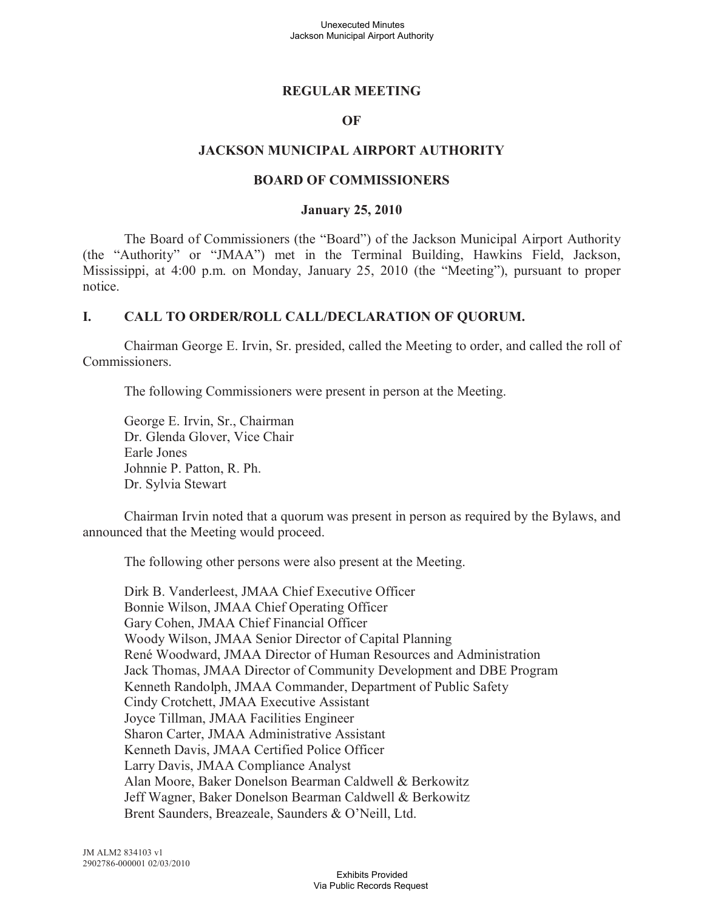## **REGULAR MEETING**

### **OF**

### **JACKSON MUNICIPAL AIRPORT AUTHORITY**

### **BOARD OF COMMISSIONERS**

### **January 25, 2010**

The Board of Commissioners (the "Board") of the Jackson Municipal Airport Authority (the "Authority" or "JMAA") met in the Terminal Building, Hawkins Field, Jackson, Mississippi, at 4:00 p.m. on Monday, January 25, 2010 (the "Meeting"), pursuant to proper notice.

### **I. CALL TO ORDER/ROLL CALL/DECLARATION OF QUORUM.**

Chairman George E. Irvin, Sr. presided, called the Meeting to order, and called the roll of Commissioners.

The following Commissioners were present in person at the Meeting.

George E. Irvin, Sr., Chairman Dr. Glenda Glover, Vice Chair Earle Jones Johnnie P. Patton, R. Ph. Dr. Sylvia Stewart

Chairman Irvin noted that a quorum was present in person as required by the Bylaws, and announced that the Meeting would proceed.

The following other persons were also present at the Meeting.

Dirk B. Vanderleest, JMAA Chief Executive Officer Bonnie Wilson, JMAA Chief Operating Officer Gary Cohen, JMAA Chief Financial Officer Woody Wilson, JMAA Senior Director of Capital Planning René Woodward, JMAA Director of Human Resources and Administration Jack Thomas, JMAA Director of Community Development and DBE Program Kenneth Randolph, JMAA Commander, Department of Public Safety Cindy Crotchett, JMAA Executive Assistant Joyce Tillman, JMAA Facilities Engineer Sharon Carter, JMAA Administrative Assistant Kenneth Davis, JMAA Certified Police Officer Larry Davis, JMAA Compliance Analyst Alan Moore, Baker Donelson Bearman Caldwell & Berkowitz Jeff Wagner, Baker Donelson Bearman Caldwell & Berkowitz Brent Saunders, Breazeale, Saunders & O'Neill, Ltd.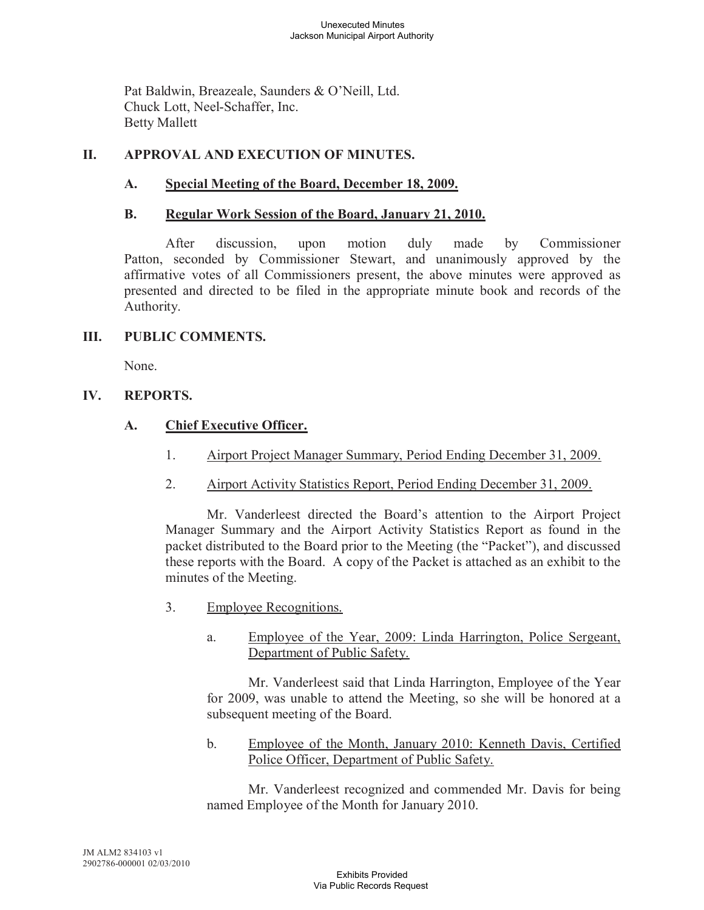Pat Baldwin, Breazeale, Saunders & O'Neill, Ltd. Chuck Lott, Neel-Schaffer, Inc. Betty Mallett

# **II. APPROVAL AND EXECUTION OF MINUTES.**

## **A. Special Meeting of the Board, December 18, 2009.**

## **B. Regular Work Session of the Board, January 21, 2010.**

After discussion, upon motion duly made by Commissioner Patton, seconded by Commissioner Stewart, and unanimously approved by the affirmative votes of all Commissioners present, the above minutes were approved as presented and directed to be filed in the appropriate minute book and records of the Authority.

## **III. PUBLIC COMMENTS.**

None.

## **IV. REPORTS.**

## **A. Chief Executive Officer.**

- 1. Airport Project Manager Summary, Period Ending December 31, 2009.
- 2. Airport Activity Statistics Report, Period Ending December 31, 2009.

Mr. Vanderleest directed the Board's attention to the Airport Project Manager Summary and the Airport Activity Statistics Report as found in the packet distributed to the Board prior to the Meeting (the "Packet"), and discussed these reports with the Board. A copy of the Packet is attached as an exhibit to the minutes of the Meeting.

- 3. Employee Recognitions.
	- a. Employee of the Year, 2009: Linda Harrington, Police Sergeant, Department of Public Safety.

Mr. Vanderleest said that Linda Harrington, Employee of the Year for 2009, was unable to attend the Meeting, so she will be honored at a subsequent meeting of the Board.

b. Employee of the Month, January 2010: Kenneth Davis, Certified Police Officer, Department of Public Safety.

Mr. Vanderleest recognized and commended Mr. Davis for being named Employee of the Month for January 2010.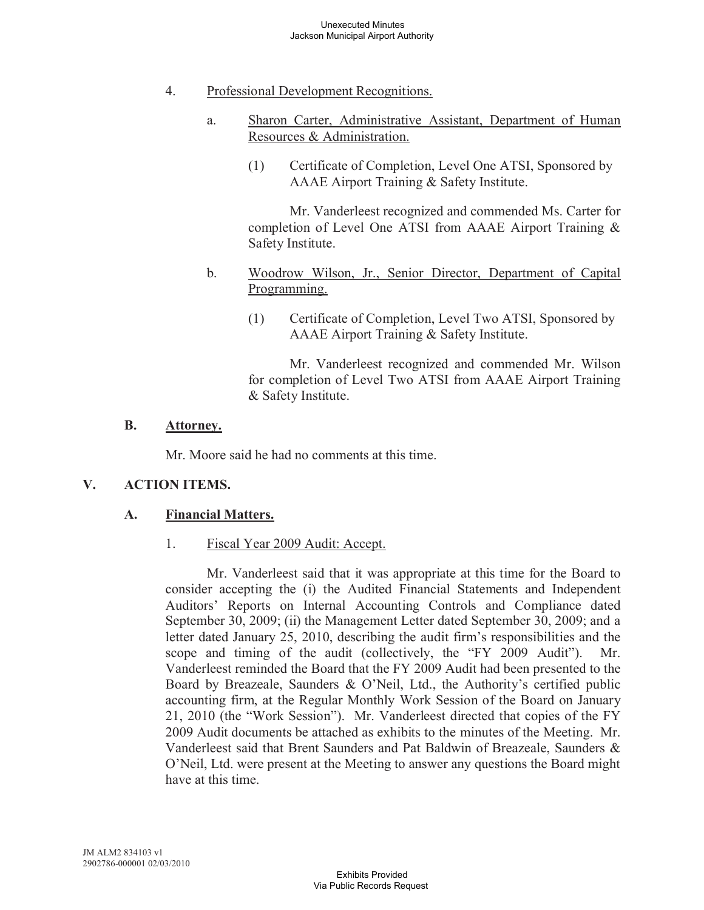- 4. Professional Development Recognitions.
	- a. Sharon Carter, Administrative Assistant, Department of Human Resources & Administration.
		- (1) Certificate of Completion, Level One ATSI, Sponsored by AAAE Airport Training & Safety Institute.

Mr. Vanderleest recognized and commended Ms. Carter for completion of Level One ATSI from AAAE Airport Training & Safety Institute.

- b. Woodrow Wilson, Jr., Senior Director, Department of Capital Programming.
	- (1) Certificate of Completion, Level Two ATSI, Sponsored by AAAE Airport Training & Safety Institute.

Mr. Vanderleest recognized and commended Mr. Wilson for completion of Level Two ATSI from AAAE Airport Training & Safety Institute.

## **B. Attorney.**

Mr. Moore said he had no comments at this time.

## **V. ACTION ITEMS.**

## **A. Financial Matters.**

1. Fiscal Year 2009 Audit: Accept.

Mr. Vanderleest said that it was appropriate at this time for the Board to consider accepting the (i) the Audited Financial Statements and Independent Auditors' Reports on Internal Accounting Controls and Compliance dated September 30, 2009; (ii) the Management Letter dated September 30, 2009; and a letter dated January 25, 2010, describing the audit firm's responsibilities and the scope and timing of the audit (collectively, the "FY 2009 Audit"). Mr. Vanderleest reminded the Board that the FY 2009 Audit had been presented to the Board by Breazeale, Saunders & O'Neil, Ltd., the Authority's certified public accounting firm, at the Regular Monthly Work Session of the Board on January 21, 2010 (the "Work Session"). Mr. Vanderleest directed that copies of the FY 2009 Audit documents be attached as exhibits to the minutes of the Meeting. Mr. Vanderleest said that Brent Saunders and Pat Baldwin of Breazeale, Saunders & O'Neil, Ltd. were present at the Meeting to answer any questions the Board might have at this time.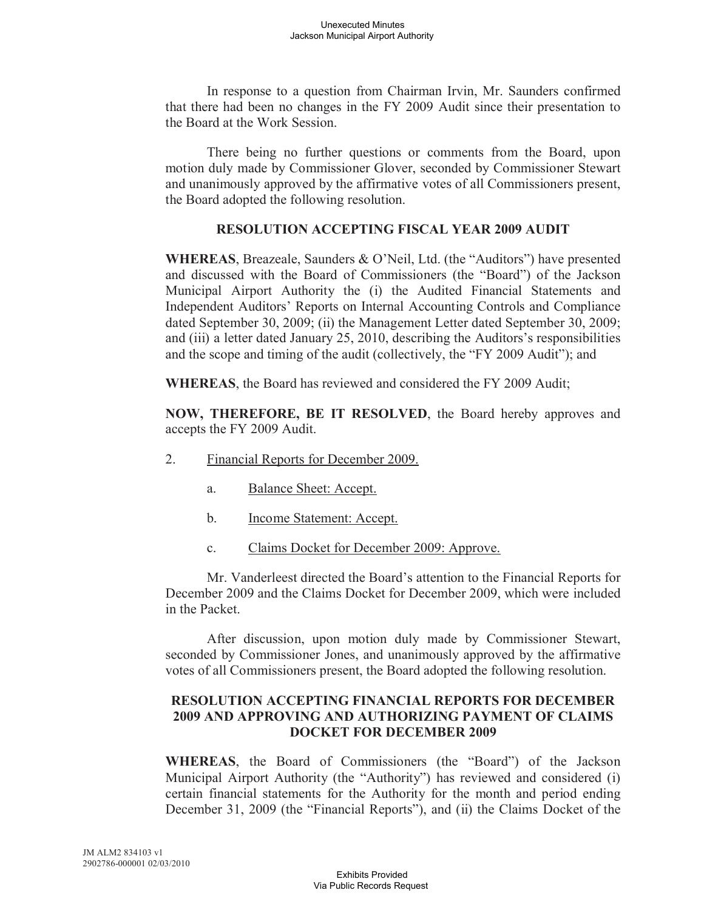In response to a question from Chairman Irvin, Mr. Saunders confirmed that there had been no changes in the FY 2009 Audit since their presentation to the Board at the Work Session.

There being no further questions or comments from the Board, upon motion duly made by Commissioner Glover, seconded by Commissioner Stewart and unanimously approved by the affirmative votes of all Commissioners present, the Board adopted the following resolution.

## **RESOLUTION ACCEPTING FISCAL YEAR 2009 AUDIT**

**WHEREAS**, Breazeale, Saunders & O'Neil, Ltd. (the "Auditors") have presented and discussed with the Board of Commissioners (the "Board") of the Jackson Municipal Airport Authority the (i) the Audited Financial Statements and Independent Auditors' Reports on Internal Accounting Controls and Compliance dated September 30, 2009; (ii) the Management Letter dated September 30, 2009; and (iii) a letter dated January 25, 2010, describing the Auditors's responsibilities and the scope and timing of the audit (collectively, the "FY 2009 Audit"); and

**WHEREAS**, the Board has reviewed and considered the FY 2009 Audit;

**NOW, THEREFORE, BE IT RESOLVED**, the Board hereby approves and accepts the FY 2009 Audit.

- 2. Financial Reports for December 2009.
	- a. Balance Sheet: Accept.
	- b. Income Statement: Accept.
	- c. Claims Docket for December 2009: Approve.

Mr. Vanderleest directed the Board's attention to the Financial Reports for December 2009 and the Claims Docket for December 2009, which were included in the Packet.

After discussion, upon motion duly made by Commissioner Stewart, seconded by Commissioner Jones, and unanimously approved by the affirmative votes of all Commissioners present, the Board adopted the following resolution.

## **RESOLUTION ACCEPTING FINANCIAL REPORTS FOR DECEMBER 2009 AND APPROVING AND AUTHORIZING PAYMENT OF CLAIMS DOCKET FOR DECEMBER 2009**

**WHEREAS**, the Board of Commissioners (the "Board") of the Jackson Municipal Airport Authority (the "Authority") has reviewed and considered (i) certain financial statements for the Authority for the month and period ending December 31, 2009 (the "Financial Reports"), and (ii) the Claims Docket of the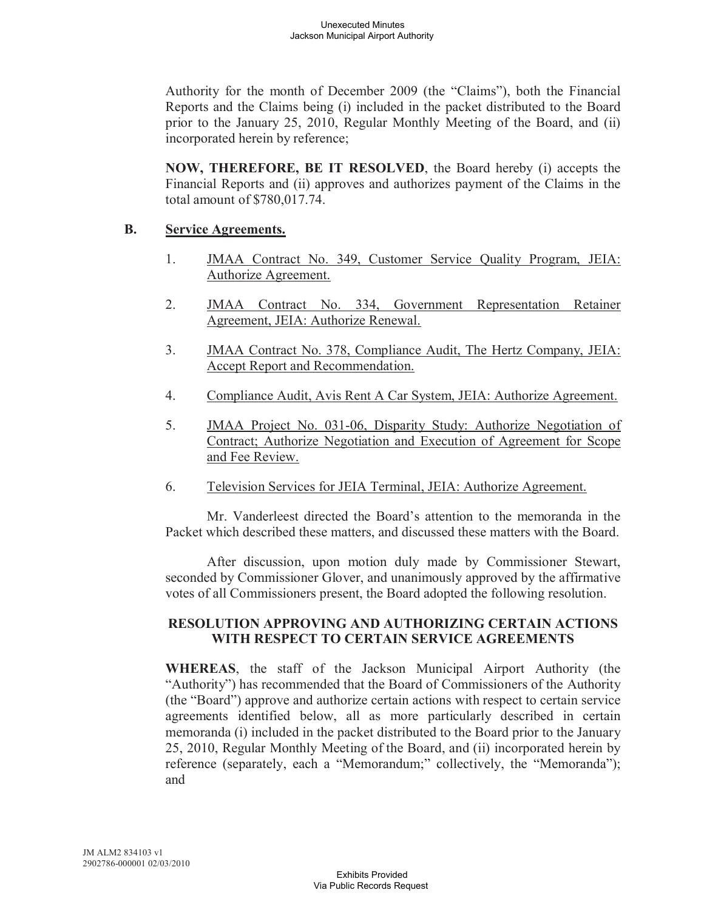Authority for the month of December 2009 (the "Claims"), both the Financial Reports and the Claims being (i) included in the packet distributed to the Board prior to the January 25, 2010, Regular Monthly Meeting of the Board, and (ii) incorporated herein by reference;

**NOW, THEREFORE, BE IT RESOLVED**, the Board hereby (i) accepts the Financial Reports and (ii) approves and authorizes payment of the Claims in the total amount of \$780,017.74.

## **B. Service Agreements.**

- 1. JMAA Contract No. 349, Customer Service Quality Program, JEIA: Authorize Agreement.
- 2. JMAA Contract No. 334, Government Representation Retainer Agreement, JEIA: Authorize Renewal.
- 3. JMAA Contract No. 378, Compliance Audit, The Hertz Company, JEIA: Accept Report and Recommendation.
- 4. Compliance Audit, Avis Rent A Car System, JEIA: Authorize Agreement.
- 5. JMAA Project No. 031-06, Disparity Study: Authorize Negotiation of Contract; Authorize Negotiation and Execution of Agreement for Scope and Fee Review.
- 6. Television Services for JEIA Terminal, JEIA: Authorize Agreement.

Mr. Vanderleest directed the Board's attention to the memoranda in the Packet which described these matters, and discussed these matters with the Board.

After discussion, upon motion duly made by Commissioner Stewart, seconded by Commissioner Glover, and unanimously approved by the affirmative votes of all Commissioners present, the Board adopted the following resolution.

## **RESOLUTION APPROVING AND AUTHORIZING CERTAIN ACTIONS WITH RESPECT TO CERTAIN SERVICE AGREEMENTS**

**WHEREAS**, the staff of the Jackson Municipal Airport Authority (the "Authority") has recommended that the Board of Commissioners of the Authority (the "Board") approve and authorize certain actions with respect to certain service agreements identified below, all as more particularly described in certain memoranda (i) included in the packet distributed to the Board prior to the January 25, 2010, Regular Monthly Meeting of the Board, and (ii) incorporated herein by reference (separately, each a "Memorandum;" collectively, the "Memoranda"); and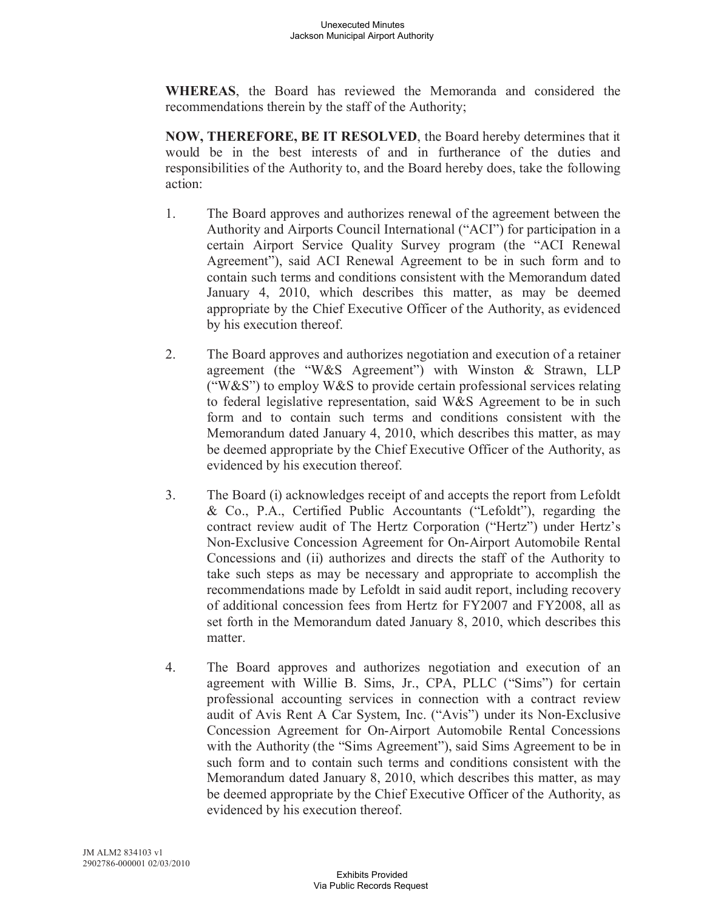**WHEREAS**, the Board has reviewed the Memoranda and considered the recommendations therein by the staff of the Authority;

**NOW, THEREFORE, BE IT RESOLVED**, the Board hereby determines that it would be in the best interests of and in furtherance of the duties and responsibilities of the Authority to, and the Board hereby does, take the following action:

- 1. The Board approves and authorizes renewal of the agreement between the Authority and Airports Council International ("ACI") for participation in a certain Airport Service Quality Survey program (the "ACI Renewal Agreement"), said ACI Renewal Agreement to be in such form and to contain such terms and conditions consistent with the Memorandum dated January 4, 2010, which describes this matter, as may be deemed appropriate by the Chief Executive Officer of the Authority, as evidenced by his execution thereof.
- 2. The Board approves and authorizes negotiation and execution of a retainer agreement (the "W&S Agreement") with Winston & Strawn, LLP ("W&S") to employ W&S to provide certain professional services relating to federal legislative representation, said W&S Agreement to be in such form and to contain such terms and conditions consistent with the Memorandum dated January 4, 2010, which describes this matter, as may be deemed appropriate by the Chief Executive Officer of the Authority, as evidenced by his execution thereof.
- 3. The Board (i) acknowledges receipt of and accepts the report from Lefoldt & Co., P.A., Certified Public Accountants ("Lefoldt"), regarding the contract review audit of The Hertz Corporation ("Hertz") under Hertz's Non-Exclusive Concession Agreement for On-Airport Automobile Rental Concessions and (ii) authorizes and directs the staff of the Authority to take such steps as may be necessary and appropriate to accomplish the recommendations made by Lefoldt in said audit report, including recovery of additional concession fees from Hertz for FY2007 and FY2008, all as set forth in the Memorandum dated January 8, 2010, which describes this matter.
- 4. The Board approves and authorizes negotiation and execution of an agreement with Willie B. Sims, Jr., CPA, PLLC ("Sims") for certain professional accounting services in connection with a contract review audit of Avis Rent A Car System, Inc. ("Avis") under its Non-Exclusive Concession Agreement for On-Airport Automobile Rental Concessions with the Authority (the "Sims Agreement"), said Sims Agreement to be in such form and to contain such terms and conditions consistent with the Memorandum dated January 8, 2010, which describes this matter, as may be deemed appropriate by the Chief Executive Officer of the Authority, as evidenced by his execution thereof.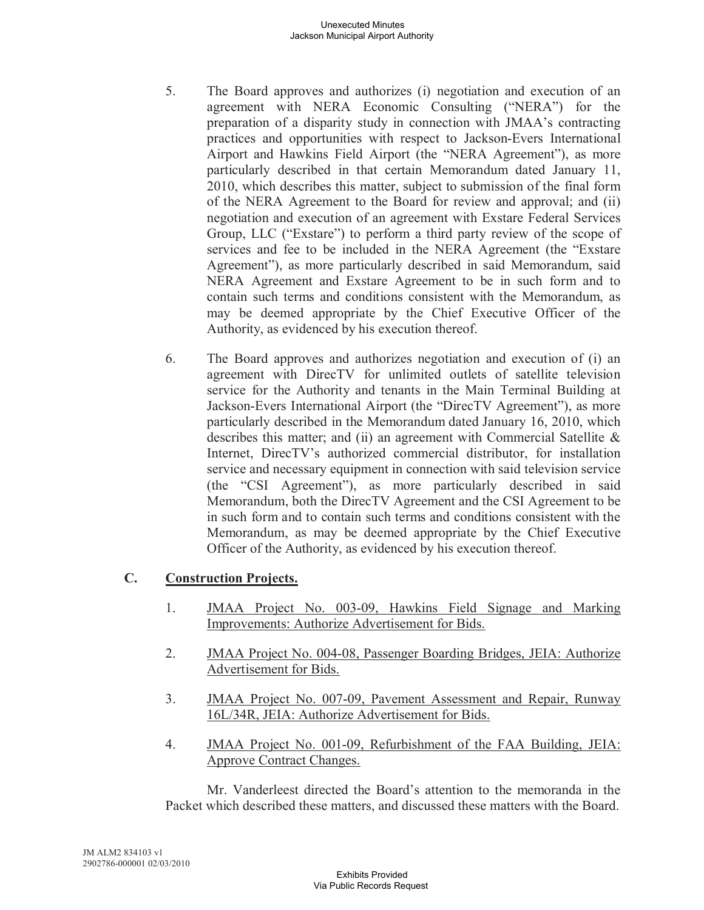#### Unexecuted Minutes Jackson Municipal Airport Authority

- 5. The Board approves and authorizes (i) negotiation and execution of an agreement with NERA Economic Consulting ("NERA") for the preparation of a disparity study in connection with JMAA's contracting practices and opportunities with respect to Jackson-Evers International Airport and Hawkins Field Airport (the "NERA Agreement"), as more particularly described in that certain Memorandum dated January 11, 2010, which describes this matter, subject to submission of the final form of the NERA Agreement to the Board for review and approval; and (ii) negotiation and execution of an agreement with Exstare Federal Services Group, LLC ("Exstare") to perform a third party review of the scope of services and fee to be included in the NERA Agreement (the "Exstare Agreement"), as more particularly described in said Memorandum, said NERA Agreement and Exstare Agreement to be in such form and to contain such terms and conditions consistent with the Memorandum, as may be deemed appropriate by the Chief Executive Officer of the Authority, as evidenced by his execution thereof.
- 6. The Board approves and authorizes negotiation and execution of (i) an agreement with DirecTV for unlimited outlets of satellite television service for the Authority and tenants in the Main Terminal Building at Jackson-Evers International Airport (the "DirecTV Agreement"), as more particularly described in the Memorandum dated January 16, 2010, which describes this matter; and (ii) an agreement with Commercial Satellite & Internet, DirecTV's authorized commercial distributor, for installation service and necessary equipment in connection with said television service (the "CSI Agreement"), as more particularly described in said Memorandum, both the DirecTV Agreement and the CSI Agreement to be in such form and to contain such terms and conditions consistent with the Memorandum, as may be deemed appropriate by the Chief Executive Officer of the Authority, as evidenced by his execution thereof.

# **C. Construction Projects.**

- 1. JMAA Project No. 003-09, Hawkins Field Signage and Marking Improvements: Authorize Advertisement for Bids.
- 2. JMAA Project No. 004-08, Passenger Boarding Bridges, JEIA: Authorize Advertisement for Bids.
- 3. JMAA Project No. 007-09, Pavement Assessment and Repair, Runway 16L/34R, JEIA: Authorize Advertisement for Bids.
- 4. JMAA Project No. 001-09, Refurbishment of the FAA Building, JEIA: Approve Contract Changes.

Mr. Vanderleest directed the Board's attention to the memoranda in the Packet which described these matters, and discussed these matters with the Board.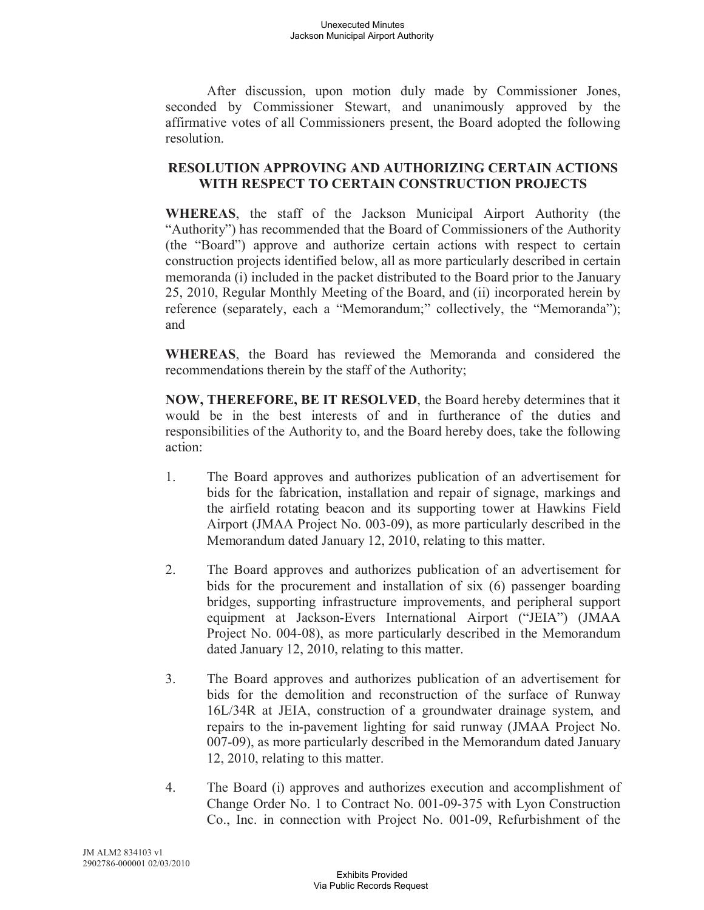#### Unexecuted Minutes Jackson Municipal Airport Authority

After discussion, upon motion duly made by Commissioner Jones, seconded by Commissioner Stewart, and unanimously approved by the affirmative votes of all Commissioners present, the Board adopted the following resolution.

## **RESOLUTION APPROVING AND AUTHORIZING CERTAIN ACTIONS WITH RESPECT TO CERTAIN CONSTRUCTION PROJECTS**

**WHEREAS**, the staff of the Jackson Municipal Airport Authority (the "Authority") has recommended that the Board of Commissioners of the Authority (the "Board") approve and authorize certain actions with respect to certain construction projects identified below, all as more particularly described in certain memoranda (i) included in the packet distributed to the Board prior to the January 25, 2010, Regular Monthly Meeting of the Board, and (ii) incorporated herein by reference (separately, each a "Memorandum;" collectively, the "Memoranda"); and

**WHEREAS**, the Board has reviewed the Memoranda and considered the recommendations therein by the staff of the Authority;

**NOW, THEREFORE, BE IT RESOLVED**, the Board hereby determines that it would be in the best interests of and in furtherance of the duties and responsibilities of the Authority to, and the Board hereby does, take the following action:

- 1. The Board approves and authorizes publication of an advertisement for bids for the fabrication, installation and repair of signage, markings and the airfield rotating beacon and its supporting tower at Hawkins Field Airport (JMAA Project No. 003-09), as more particularly described in the Memorandum dated January 12, 2010, relating to this matter.
- 2. The Board approves and authorizes publication of an advertisement for bids for the procurement and installation of six (6) passenger boarding bridges, supporting infrastructure improvements, and peripheral support equipment at Jackson-Evers International Airport ("JEIA") (JMAA Project No. 004-08), as more particularly described in the Memorandum dated January 12, 2010, relating to this matter.
- 3. The Board approves and authorizes publication of an advertisement for bids for the demolition and reconstruction of the surface of Runway 16L/34R at JEIA, construction of a groundwater drainage system, and repairs to the in-pavement lighting for said runway (JMAA Project No. 007-09), as more particularly described in the Memorandum dated January 12, 2010, relating to this matter.
- 4. The Board (i) approves and authorizes execution and accomplishment of Change Order No. 1 to Contract No. 001-09-375 with Lyon Construction Co., Inc. in connection with Project No. 001-09, Refurbishment of the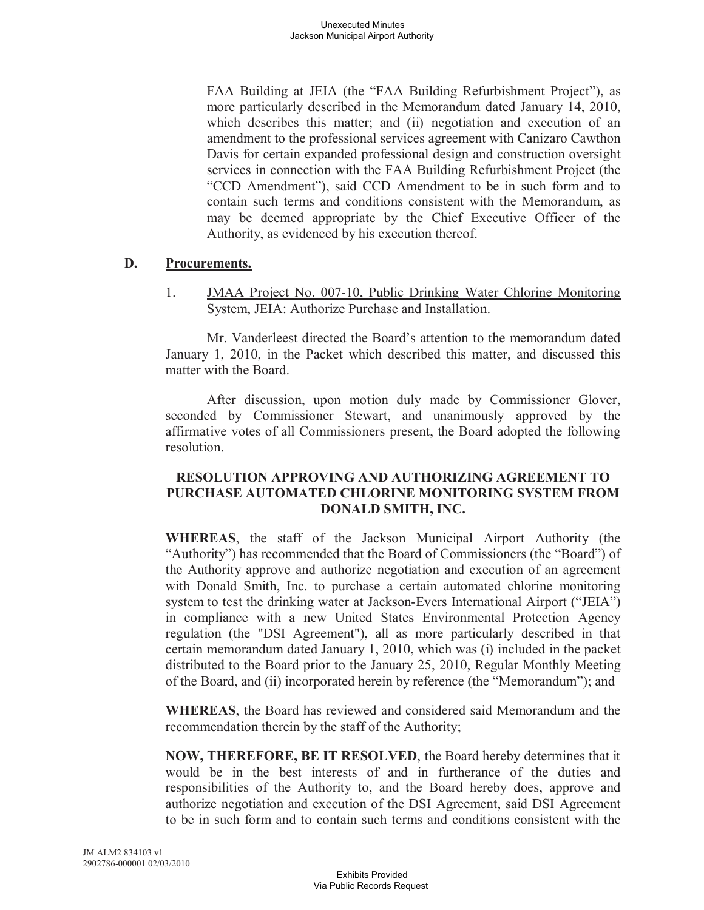FAA Building at JEIA (the "FAA Building Refurbishment Project"), as more particularly described in the Memorandum dated January 14, 2010, which describes this matter; and (ii) negotiation and execution of an amendment to the professional services agreement with Canizaro Cawthon Davis for certain expanded professional design and construction oversight services in connection with the FAA Building Refurbishment Project (the "CCD Amendment"), said CCD Amendment to be in such form and to contain such terms and conditions consistent with the Memorandum, as may be deemed appropriate by the Chief Executive Officer of the Authority, as evidenced by his execution thereof.

## **D. Procurements.**

1. JMAA Project No. 007-10, Public Drinking Water Chlorine Monitoring System, JEIA: Authorize Purchase and Installation.

Mr. Vanderleest directed the Board's attention to the memorandum dated January 1, 2010, in the Packet which described this matter, and discussed this matter with the Board.

After discussion, upon motion duly made by Commissioner Glover, seconded by Commissioner Stewart, and unanimously approved by the affirmative votes of all Commissioners present, the Board adopted the following resolution.

## **RESOLUTION APPROVING AND AUTHORIZING AGREEMENT TO PURCHASE AUTOMATED CHLORINE MONITORING SYSTEM FROM DONALD SMITH, INC.**

**WHEREAS**, the staff of the Jackson Municipal Airport Authority (the "Authority") has recommended that the Board of Commissioners (the "Board") of the Authority approve and authorize negotiation and execution of an agreement with Donald Smith, Inc. to purchase a certain automated chlorine monitoring system to test the drinking water at Jackson-Evers International Airport ("JEIA") in compliance with a new United States Environmental Protection Agency regulation (the "DSI Agreement"), all as more particularly described in that certain memorandum dated January 1, 2010, which was (i) included in the packet distributed to the Board prior to the January 25, 2010, Regular Monthly Meeting of the Board, and (ii) incorporated herein by reference (the "Memorandum"); and

**WHEREAS**, the Board has reviewed and considered said Memorandum and the recommendation therein by the staff of the Authority;

**NOW, THEREFORE, BE IT RESOLVED**, the Board hereby determines that it would be in the best interests of and in furtherance of the duties and responsibilities of the Authority to, and the Board hereby does, approve and authorize negotiation and execution of the DSI Agreement, said DSI Agreement to be in such form and to contain such terms and conditions consistent with the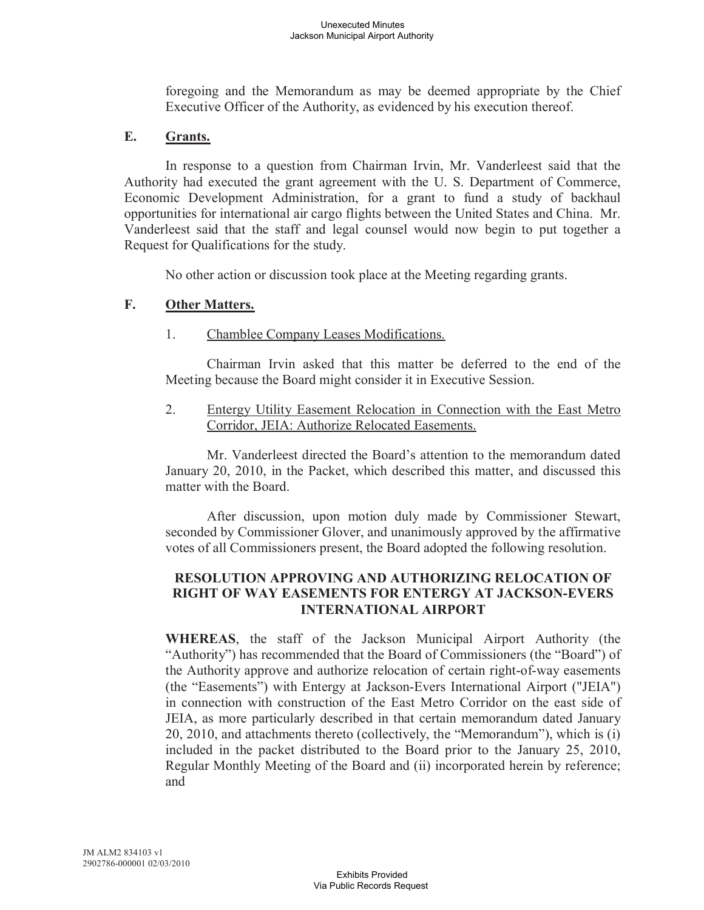foregoing and the Memorandum as may be deemed appropriate by the Chief Executive Officer of the Authority, as evidenced by his execution thereof.

## **E. Grants.**

In response to a question from Chairman Irvin, Mr. Vanderleest said that the Authority had executed the grant agreement with the U. S. Department of Commerce, Economic Development Administration, for a grant to fund a study of backhaul opportunities for international air cargo flights between the United States and China. Mr. Vanderleest said that the staff and legal counsel would now begin to put together a Request for Qualifications for the study.

No other action or discussion took place at the Meeting regarding grants.

## **F. Other Matters.**

## 1. Chamblee Company Leases Modifications.

Chairman Irvin asked that this matter be deferred to the end of the Meeting because the Board might consider it in Executive Session.

2. Entergy Utility Easement Relocation in Connection with the East Metro Corridor, JEIA: Authorize Relocated Easements.

Mr. Vanderleest directed the Board's attention to the memorandum dated January 20, 2010, in the Packet, which described this matter, and discussed this matter with the Board.

After discussion, upon motion duly made by Commissioner Stewart, seconded by Commissioner Glover, and unanimously approved by the affirmative votes of all Commissioners present, the Board adopted the following resolution.

## **RESOLUTION APPROVING AND AUTHORIZING RELOCATION OF RIGHT OF WAY EASEMENTS FOR ENTERGY AT JACKSON-EVERS INTERNATIONAL AIRPORT**

**WHEREAS**, the staff of the Jackson Municipal Airport Authority (the "Authority") has recommended that the Board of Commissioners (the "Board") of the Authority approve and authorize relocation of certain right-of-way easements (the "Easements") with Entergy at Jackson-Evers International Airport ("JEIA") in connection with construction of the East Metro Corridor on the east side of JEIA, as more particularly described in that certain memorandum dated January 20, 2010, and attachments thereto (collectively, the "Memorandum"), which is (i) included in the packet distributed to the Board prior to the January 25, 2010, Regular Monthly Meeting of the Board and (ii) incorporated herein by reference; and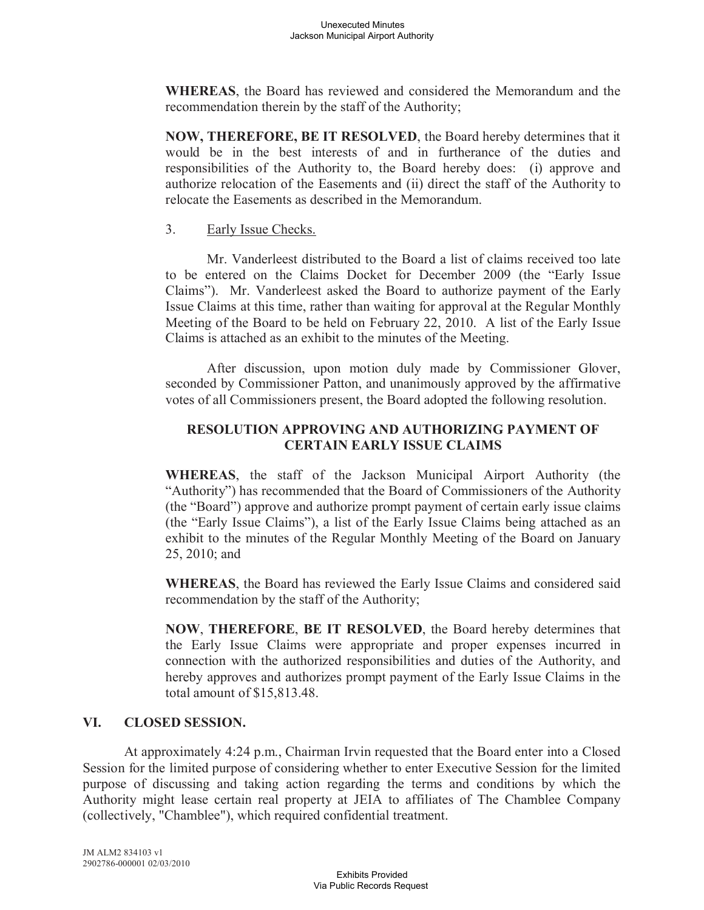**WHEREAS**, the Board has reviewed and considered the Memorandum and the recommendation therein by the staff of the Authority;

**NOW, THEREFORE, BE IT RESOLVED**, the Board hereby determines that it would be in the best interests of and in furtherance of the duties and responsibilities of the Authority to, the Board hereby does: (i) approve and authorize relocation of the Easements and (ii) direct the staff of the Authority to relocate the Easements as described in the Memorandum.

### 3. Early Issue Checks.

Mr. Vanderleest distributed to the Board a list of claims received too late to be entered on the Claims Docket for December 2009 (the "Early Issue Claims"). Mr. Vanderleest asked the Board to authorize payment of the Early Issue Claims at this time, rather than waiting for approval at the Regular Monthly Meeting of the Board to be held on February 22, 2010. A list of the Early Issue Claims is attached as an exhibit to the minutes of the Meeting.

After discussion, upon motion duly made by Commissioner Glover, seconded by Commissioner Patton, and unanimously approved by the affirmative votes of all Commissioners present, the Board adopted the following resolution.

# **RESOLUTION APPROVING AND AUTHORIZING PAYMENT OF CERTAIN EARLY ISSUE CLAIMS**

**WHEREAS**, the staff of the Jackson Municipal Airport Authority (the "Authority") has recommended that the Board of Commissioners of the Authority (the "Board") approve and authorize prompt payment of certain early issue claims (the "Early Issue Claims"), a list of the Early Issue Claims being attached as an exhibit to the minutes of the Regular Monthly Meeting of the Board on January 25, 2010; and

**WHEREAS**, the Board has reviewed the Early Issue Claims and considered said recommendation by the staff of the Authority;

**NOW**, **THEREFORE**, **BE IT RESOLVED**, the Board hereby determines that the Early Issue Claims were appropriate and proper expenses incurred in connection with the authorized responsibilities and duties of the Authority, and hereby approves and authorizes prompt payment of the Early Issue Claims in the total amount of \$15,813.48.

## **VI. CLOSED SESSION.**

At approximately 4:24 p.m., Chairman Irvin requested that the Board enter into a Closed Session for the limited purpose of considering whether to enter Executive Session for the limited purpose of discussing and taking action regarding the terms and conditions by which the Authority might lease certain real property at JEIA to affiliates of The Chamblee Company (collectively, "Chamblee"), which required confidential treatment.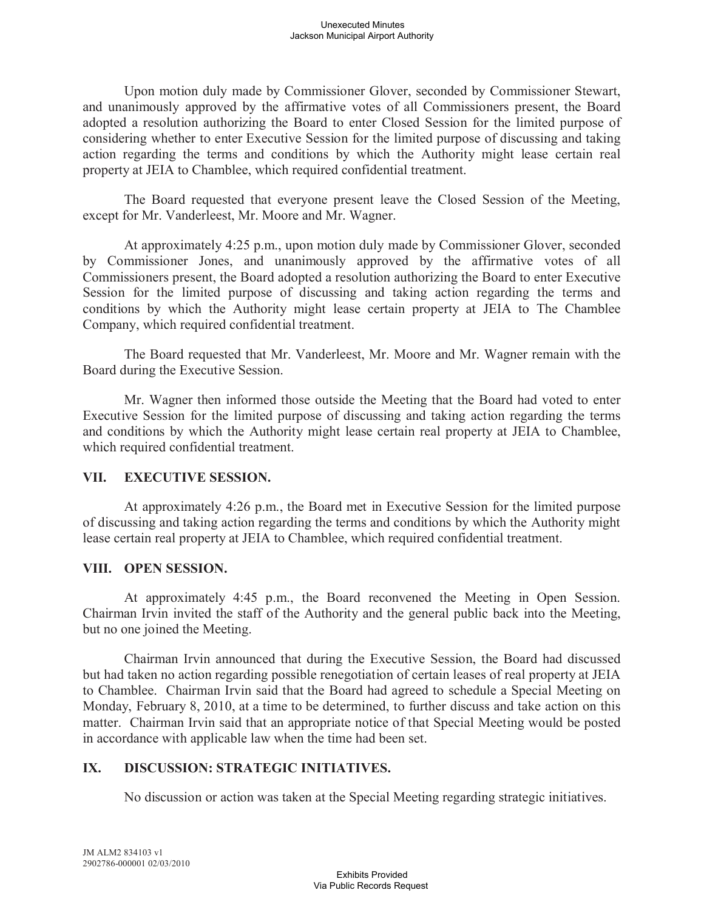Upon motion duly made by Commissioner Glover, seconded by Commissioner Stewart, and unanimously approved by the affirmative votes of all Commissioners present, the Board adopted a resolution authorizing the Board to enter Closed Session for the limited purpose of considering whether to enter Executive Session for the limited purpose of discussing and taking action regarding the terms and conditions by which the Authority might lease certain real property at JEIA to Chamblee, which required confidential treatment.

The Board requested that everyone present leave the Closed Session of the Meeting, except for Mr. Vanderleest, Mr. Moore and Mr. Wagner.

At approximately 4:25 p.m., upon motion duly made by Commissioner Glover, seconded by Commissioner Jones, and unanimously approved by the affirmative votes of all Commissioners present, the Board adopted a resolution authorizing the Board to enter Executive Session for the limited purpose of discussing and taking action regarding the terms and conditions by which the Authority might lease certain property at JEIA to The Chamblee Company, which required confidential treatment.

The Board requested that Mr. Vanderleest, Mr. Moore and Mr. Wagner remain with the Board during the Executive Session.

Mr. Wagner then informed those outside the Meeting that the Board had voted to enter Executive Session for the limited purpose of discussing and taking action regarding the terms and conditions by which the Authority might lease certain real property at JEIA to Chamblee, which required confidential treatment.

## **VII. EXECUTIVE SESSION.**

At approximately 4:26 p.m., the Board met in Executive Session for the limited purpose of discussing and taking action regarding the terms and conditions by which the Authority might lease certain real property at JEIA to Chamblee, which required confidential treatment.

## **VIII. OPEN SESSION.**

At approximately 4:45 p.m., the Board reconvened the Meeting in Open Session. Chairman Irvin invited the staff of the Authority and the general public back into the Meeting, but no one joined the Meeting.

Chairman Irvin announced that during the Executive Session, the Board had discussed but had taken no action regarding possible renegotiation of certain leases of real property at JEIA to Chamblee. Chairman Irvin said that the Board had agreed to schedule a Special Meeting on Monday, February 8, 2010, at a time to be determined, to further discuss and take action on this matter. Chairman Irvin said that an appropriate notice of that Special Meeting would be posted in accordance with applicable law when the time had been set.

## **IX. DISCUSSION: STRATEGIC INITIATIVES.**

No discussion or action was taken at the Special Meeting regarding strategic initiatives.